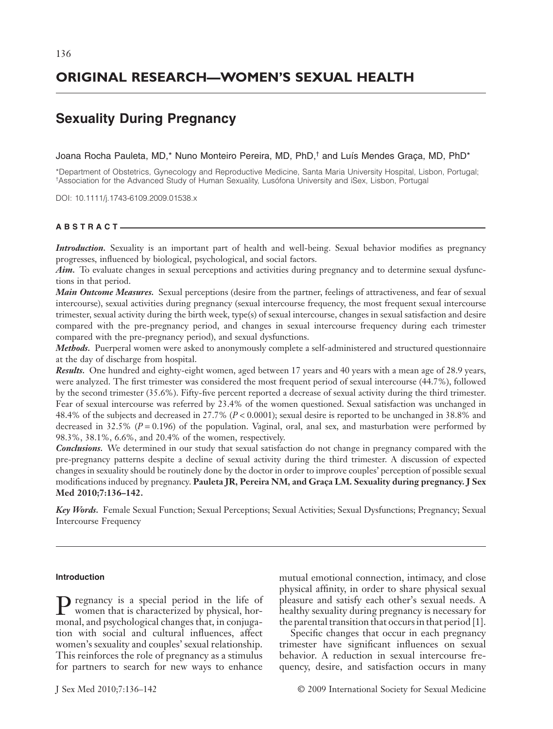# **ORIGINAL RESEARCH—WOMEN'S SEXUAL HEALTH**

# **Sexuality During Pregnancy**

Joana Rocha Pauleta, MD,\* Nuno Monteiro Pereira, MD, PhD,† and Luís Mendes Graça, MD, PhD\*

\*Department of Obstetrics, Gynecology and Reproductive Medicine, Santa Maria University Hospital, Lisbon, Portugal; † Association for the Advanced Study of Human Sexuality, Lusófona University and iSex, Lisbon, Portugal

DOI: 10.1111/j.1743-6109.2009.01538.x

## **ABSTRACT**

*Introduction*. Sexuality is an important part of health and well-being. Sexual behavior modifies as pregnancy progresses, influenced by biological, psychological, and social factors.

*Aim.* To evaluate changes in sexual perceptions and activities during pregnancy and to determine sexual dysfunctions in that period.

*Main Outcome Measures.* Sexual perceptions (desire from the partner, feelings of attractiveness, and fear of sexual intercourse), sexual activities during pregnancy (sexual intercourse frequency, the most frequent sexual intercourse trimester, sexual activity during the birth week, type(s) of sexual intercourse, changes in sexual satisfaction and desire compared with the pre-pregnancy period, and changes in sexual intercourse frequency during each trimester compared with the pre-pregnancy period), and sexual dysfunctions.

*Methods.* Puerperal women were asked to anonymously complete a self-administered and structured questionnaire at the day of discharge from hospital.

*Results.* One hundred and eighty-eight women, aged between 17 years and 40 years with a mean age of 28.9 years, were analyzed. The first trimester was considered the most frequent period of sexual intercourse (44.7%), followed by the second trimester (35.6%). Fifty-five percent reported a decrease of sexual activity during the third trimester. Fear of sexual intercourse was referred by 23.4% of the women questioned. Sexual satisfaction was unchanged in 48.4% of the subjects and decreased in 27.7% (*P* < 0.0001); sexual desire is reported to be unchanged in 38.8% and decreased in 32.5% ( $P = 0.196$ ) of the population. Vaginal, oral, anal sex, and masturbation were performed by 98.3%, 38.1%, 6.6%, and 20.4% of the women, respectively.

*Conclusions.* We determined in our study that sexual satisfaction do not change in pregnancy compared with the pre-pregnancy patterns despite a decline of sexual activity during the third trimester. A discussion of expected changes in sexuality should be routinely done by the doctor in order to improve couples' perception of possible sexual modifications induced by pregnancy. **Pauleta JR, Pereira NM, and Graça LM. Sexuality during pregnancy. J Sex Med 2010;7:136–142.**

*Key Words.* Female Sexual Function; Sexual Perceptions; Sexual Activities; Sexual Dysfunctions; Pregnancy; Sexual Intercourse Frequency

# **Introduction**

**P** regnancy is a special period in the life of women that is characterized by physical, hormonal, and psychological changes that, in conjugation with social and cultural influences, affect women's sexuality and couples' sexual relationship. This reinforces the role of pregnancy as a stimulus for partners to search for new ways to enhance

mutual emotional connection, intimacy, and close physical affinity, in order to share physical sexual pleasure and satisfy each other's sexual needs. A healthy sexuality during pregnancy is necessary for the parental transition that occurs in that period [1].

Specific changes that occur in each pregnancy trimester have significant influences on sexual behavior. A reduction in sexual intercourse frequency, desire, and satisfaction occurs in many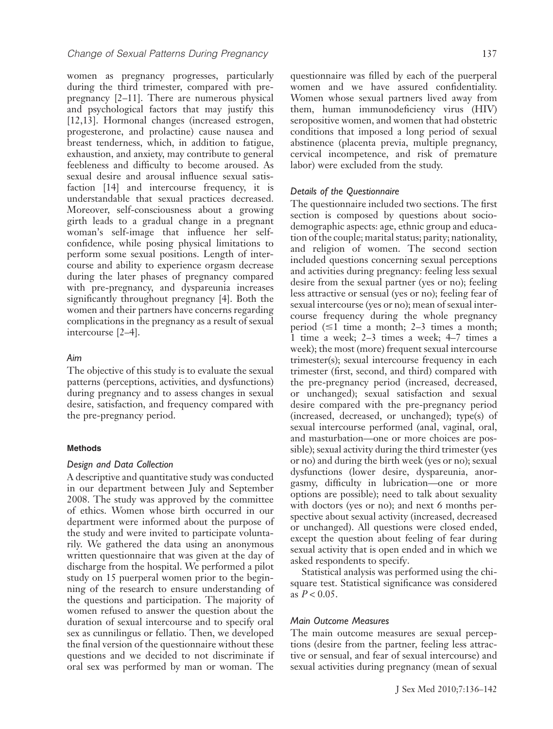women as pregnancy progresses, particularly during the third trimester, compared with prepregnancy [2–11]. There are numerous physical and psychological factors that may justify this [12,13]. Hormonal changes (increased estrogen, progesterone, and prolactine) cause nausea and breast tenderness, which, in addition to fatigue, exhaustion, and anxiety, may contribute to general feebleness and difficulty to become aroused. As sexual desire and arousal influence sexual satisfaction [14] and intercourse frequency, it is understandable that sexual practices decreased. Moreover, self-consciousness about a growing girth leads to a gradual change in a pregnant woman's self-image that influence her selfconfidence, while posing physical limitations to perform some sexual positions. Length of intercourse and ability to experience orgasm decrease during the later phases of pregnancy compared with pre-pregnancy, and dyspareunia increases significantly throughout pregnancy [4]. Both the women and their partners have concerns regarding complications in the pregnancy as a result of sexual intercourse [2–4].

# *Aim*

The objective of this study is to evaluate the sexual patterns (perceptions, activities, and dysfunctions) during pregnancy and to assess changes in sexual desire, satisfaction, and frequency compared with the pre-pregnancy period.

#### **Methods**

#### *Design and Data Collection*

A descriptive and quantitative study was conducted in our department between July and September 2008. The study was approved by the committee of ethics. Women whose birth occurred in our department were informed about the purpose of the study and were invited to participate voluntarily. We gathered the data using an anonymous written questionnaire that was given at the day of discharge from the hospital. We performed a pilot study on 15 puerperal women prior to the beginning of the research to ensure understanding of the questions and participation. The majority of women refused to answer the question about the duration of sexual intercourse and to specify oral sex as cunnilingus or fellatio. Then, we developed the final version of the questionnaire without these questions and we decided to not discriminate if oral sex was performed by man or woman. The

questionnaire was filled by each of the puerperal women and we have assured confidentiality. Women whose sexual partners lived away from them, human immunodeficiency virus (HIV) seropositive women, and women that had obstetric conditions that imposed a long period of sexual abstinence (placenta previa, multiple pregnancy, cervical incompetence, and risk of premature labor) were excluded from the study.

## *Details of the Questionnaire*

The questionnaire included two sections. The first section is composed by questions about sociodemographic aspects: age, ethnic group and education of the couple; marital status; parity; nationality, and religion of women. The second section included questions concerning sexual perceptions and activities during pregnancy: feeling less sexual desire from the sexual partner (yes or no); feeling less attractive or sensual (yes or no); feeling fear of sexual intercourse (yes or no); mean of sexual intercourse frequency during the whole pregnancy period  $(\leq 1$  time a month; 2–3 times a month; 1 time a week; 2–3 times a week; 4–7 times a week); the most (more) frequent sexual intercourse trimester(s); sexual intercourse frequency in each trimester (first, second, and third) compared with the pre-pregnancy period (increased, decreased, or unchanged); sexual satisfaction and sexual desire compared with the pre-pregnancy period (increased, decreased, or unchanged); type(s) of sexual intercourse performed (anal, vaginal, oral, and masturbation—one or more choices are possible); sexual activity during the third trimester (yes or no) and during the birth week (yes or no); sexual dysfunctions (lower desire, dyspareunia, anorgasmy, difficulty in lubrication—one or more options are possible); need to talk about sexuality with doctors (yes or no); and next 6 months perspective about sexual activity (increased, decreased or unchanged). All questions were closed ended, except the question about feeling of fear during sexual activity that is open ended and in which we asked respondents to specify.

Statistical analysis was performed using the chisquare test. Statistical significance was considered as  $P < 0.05$ .

# *Main Outcome Measures*

The main outcome measures are sexual perceptions (desire from the partner, feeling less attractive or sensual, and fear of sexual intercourse) and sexual activities during pregnancy (mean of sexual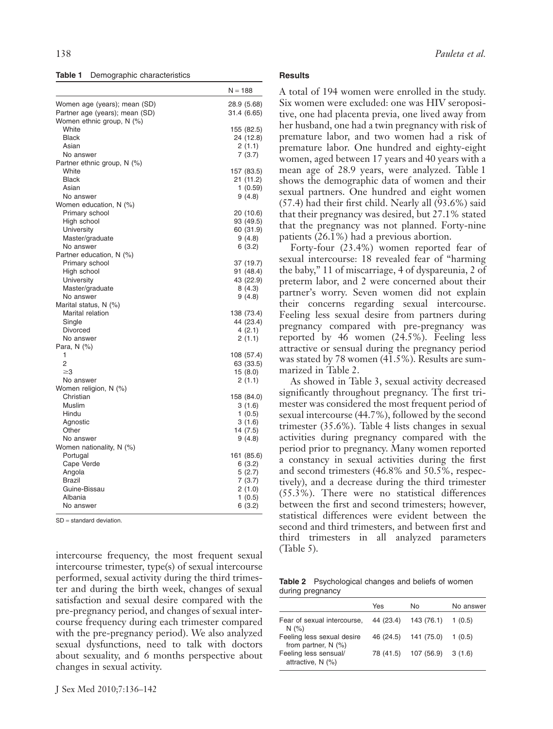**Table 1** Demographic characteristics

|                                | $N = 188$   |
|--------------------------------|-------------|
| Women age (years); mean (SD)   | 28.9 (5.68) |
| Partner age (years); mean (SD) | 31.4 (6.65) |
| Women ethnic group, N (%)      |             |
| White                          | 155 (82.5)  |
| <b>Black</b>                   | 24 (12.8)   |
| Asian                          | 2(1.1)      |
| No answer                      | 7(3.7)      |
| Partner ethnic group, N (%)    |             |
| White                          | 157 (83.5)  |
| <b>Black</b>                   | 21 (11.2)   |
| Asian                          | 1(0.59)     |
| No answer                      | 9(4.8)      |
| Women education, N (%)         |             |
| Primary school                 | 20 (10.6)   |
| High school                    | 93 (49.5)   |
| University                     | 60 (31.9)   |
| Master/graduate                | 9(4.8)      |
| No answer                      | 6(3.2)      |
| Partner education, N (%)       |             |
| Primary school                 | 37 (19.7)   |
| High school                    | 91 (48.4)   |
| University                     | 43 (22.9)   |
| Master/graduate                | 8(4.3)      |
| No answer                      | 9(4.8)      |
| Marital status, N (%)          |             |
| Marital relation               | 138 (73.4)  |
| Single                         | 44 (23.4)   |
| Divorced                       | 4(2.1)      |
| No answer                      | 2(1.1)      |
| Para, N (%)                    |             |
| 1                              |             |
| $\overline{2}$                 | 108 (57.4)  |
| $\geq 3$                       | 63 (33.5)   |
|                                | 15(8.0)     |
| No answer                      | 2(1.1)      |
| Women religion, N (%)          |             |
| Christian                      | 158 (84.0)  |
| Muslim                         | 3(1.6)      |
| Hindu                          | 1(0.5)      |
| Agnostic                       | 3(1.6)      |
| Other                          | 14 (7.5)    |
| No answer                      | 9(4.8)      |
| Women nationality, N (%)       |             |
| Portugal                       | 161 (85.6)  |
| Cape Verde                     | 6(3.2)      |
| Angola                         | 5(2.7)      |
| Brazil                         | 7(3.7)      |
| Guine-Bissau                   | 2(1.0)      |
| Albania                        | 1(0.5)      |
| No answer                      | 6(3.2)      |

SD = standard deviation.

intercourse frequency, the most frequent sexual intercourse trimester, type(s) of sexual intercourse performed, sexual activity during the third trimester and during the birth week, changes of sexual satisfaction and sexual desire compared with the pre-pregnancy period, and changes of sexual intercourse frequency during each trimester compared with the pre-pregnancy period). We also analyzed sexual dysfunctions, need to talk with doctors about sexuality, and 6 months perspective about changes in sexual activity.

# **Results**

A total of 194 women were enrolled in the study. Six women were excluded: one was HIV seropositive, one had placenta previa, one lived away from her husband, one had a twin pregnancy with risk of premature labor, and two women had a risk of premature labor. One hundred and eighty-eight women, aged between 17 years and 40 years with a mean age of 28.9 years, were analyzed. Table 1 shows the demographic data of women and their sexual partners. One hundred and eight women (57.4) had their first child. Nearly all (93.6%) said that their pregnancy was desired, but 27.1% stated that the pregnancy was not planned. Forty-nine patients (26.1%) had a previous abortion.

Forty-four (23.4%) women reported fear of sexual intercourse: 18 revealed fear of "harming the baby," 11 of miscarriage, 4 of dyspareunia, 2 of preterm labor, and 2 were concerned about their partner's worry. Seven women did not explain their concerns regarding sexual intercourse. Feeling less sexual desire from partners during pregnancy compared with pre-pregnancy was reported by 46 women (24.5%). Feeling less attractive or sensual during the pregnancy period was stated by 78 women (41.5%). Results are summarized in Table 2.

As showed in Table 3, sexual activity decreased significantly throughout pregnancy. The first trimester was considered the most frequent period of sexual intercourse (44.7%), followed by the second trimester (35.6%). Table 4 lists changes in sexual activities during pregnancy compared with the period prior to pregnancy. Many women reported a constancy in sexual activities during the first and second trimesters (46.8% and 50.5%, respectively), and a decrease during the third trimester (55.3%). There were no statistical differences between the first and second trimesters; however, statistical differences were evident between the second and third trimesters, and between first and third trimesters in all analyzed parameters (Table 5).

**Table 2** Psychological changes and beliefs of women during pregnancy

|                                                     | Yes       | No         | No answer |
|-----------------------------------------------------|-----------|------------|-----------|
| Fear of sexual intercourse.<br>N(% )                | 44 (23.4) | 143 (76.1) | 1(0.5)    |
| Feeling less sexual desire<br>from partner, $N$ (%) | 46 (24.5) | 141 (75.0) | 1(0.5)    |
| Feeling less sensual/<br>attractive, N (%)          | 78 (41.5) | 107 (56.9) | 3(1.6)    |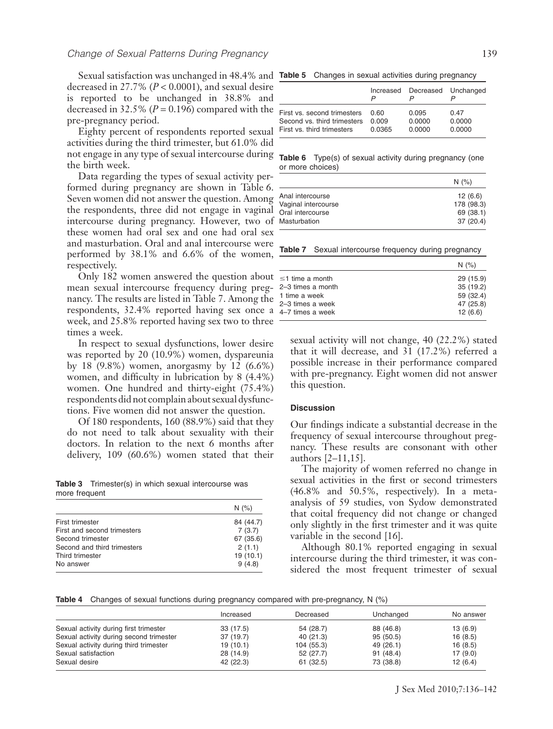Sexual satisfaction was unchanged in 48.4% and **Table 5** Changes in sexual activities during pregnancy decreased in  $27.7\%$  ( $P < 0.0001$ ), and sexual desire is reported to be unchanged in 38.8% and decreased in  $32.5\%$  ( $P = 0.196$ ) compared with the pre-pregnancy period.

Eighty percent of respondents reported sexual activities during the third trimester, but 61.0% did not engage in any type of sexual intercourse during the birth week.

Data regarding the types of sexual activity performed during pregnancy are shown in Table 6. Seven women did not answer the question. Among the respondents, three did not engage in vaginal intercourse during pregnancy. However, two of these women had oral sex and one had oral sex and masturbation. Oral and anal intercourse were performed by 38.1% and 6.6% of the women, respectively.

Only 182 women answered the question about mean sexual intercourse frequency during pregnancy. The results are listed in Table 7. Among the respondents, 32.4% reported having sex once a week, and 25.8% reported having sex two to three times a week.

In respect to sexual dysfunctions, lower desire was reported by 20 (10.9%) women, dyspareunia by 18 (9.8%) women, anorgasmy by 12 (6.6%) women, and difficulty in lubrication by 8 (4.4%) women. One hundred and thirty-eight (75.4%) respondents did not complain about sexual dysfunctions. Five women did not answer the question.

Of 180 respondents, 160 (88.9%) said that they do not need to talk about sexuality with their doctors. In relation to the next 6 months after delivery, 109 (60.6%) women stated that their

**Table 3** Trimester(s) in which sexual intercourse was more frequent

|                             | N(% )     |
|-----------------------------|-----------|
| First trimester             | 84 (44.7) |
| First and second trimesters | 7(3.7)    |
| Second trimester            | 67 (35.6) |
| Second and third trimesters | 2(1.1)    |
| Third trimester             | 19(10.1)  |
| No answer                   | 9(4.8)    |

|                             | Increased | Decreased Unchanged |        |
|-----------------------------|-----------|---------------------|--------|
| First vs. second trimesters | 0.60      | 0.095               | 0.47   |
| Second vs. third trimesters | 0.009     | 0.0000              | 0.0000 |
| First vs. third trimesters  | 0.0365    | 0.0000              | 0.0000 |

**Table 6** Type(s) of sexual activity during pregnancy (one or more choices)

|                     | N(% )      |
|---------------------|------------|
| Anal intercourse    | 12(6.6)    |
| Vaginal intercourse | 178 (98.3) |
| Oral intercourse    | 69 (38.1)  |
| Masturbation        | 37(20.4)   |

**Table 7** Sexual intercourse frequency during pregnancy

|                       | N(% )     |
|-----------------------|-----------|
| $\leq$ 1 time a month | 29(15.9)  |
| 2-3 times a month     | 35(19.2)  |
| 1 time a week         | 59 (32.4) |
| 2-3 times a week      | 47 (25.8) |
| 4-7 times a week      | 12(6.6)   |
|                       |           |

sexual activity will not change, 40 (22.2%) stated that it will decrease, and 31 (17.2%) referred a possible increase in their performance compared with pre-pregnancy. Eight women did not answer this question.

## **Discussion**

Our findings indicate a substantial decrease in the frequency of sexual intercourse throughout pregnancy. These results are consonant with other authors [2–11,15].

The majority of women referred no change in sexual activities in the first or second trimesters (46.8% and 50.5%, respectively). In a metaanalysis of 59 studies, von Sydow demonstrated that coital frequency did not change or changed only slightly in the first trimester and it was quite variable in the second [16].

Although 80.1% reported engaging in sexual intercourse during the third trimester, it was considered the most frequent trimester of sexual

**Table 4** Changes of sexual functions during pregnancy compared with pre-pregnancy, N (%)

|                                         | Increased | Decreased  | Unchanged | No answer |
|-----------------------------------------|-----------|------------|-----------|-----------|
| Sexual activity during first trimester  | 33 (17.5) | 54 (28.7)  | 88 (46.8) | 13(6.9)   |
| Sexual activity during second trimester | 37 (19.7) | 40(21.3)   | 95(50.5)  | 16(8.5)   |
| Sexual activity during third trimester  | 19(10.1)  | 104 (55.3) | 49(26.1)  | 16(8.5)   |
| Sexual satisfaction                     | 28 (14.9) | 52(27.7)   | 91(48.4)  | 17(9.0)   |
| Sexual desire                           | 42 (22.3) | 61 (32.5)  | 73 (38.8) | 12(6.4)   |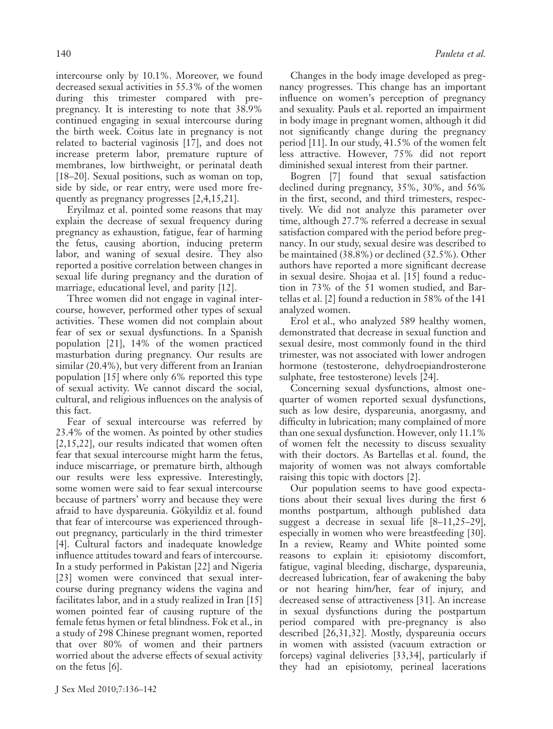intercourse only by 10.1%. Moreover, we found decreased sexual activities in 55.3% of the women during this trimester compared with prepregnancy. It is interesting to note that 38.9% continued engaging in sexual intercourse during the birth week. Coitus late in pregnancy is not related to bacterial vaginosis [17], and does not increase preterm labor, premature rupture of membranes, low birthweight, or perinatal death [18–20]. Sexual positions, such as woman on top, side by side, or rear entry, were used more frequently as pregnancy progresses [2,4,15,21].

Eryilmaz et al. pointed some reasons that may explain the decrease of sexual frequency during pregnancy as exhaustion, fatigue, fear of harming the fetus, causing abortion, inducing preterm labor, and waning of sexual desire. They also reported a positive correlation between changes in sexual life during pregnancy and the duration of marriage, educational level, and parity [12].

Three women did not engage in vaginal intercourse, however, performed other types of sexual activities. These women did not complain about fear of sex or sexual dysfunctions. In a Spanish population [21], 14% of the women practiced masturbation during pregnancy. Our results are similar (20.4%), but very different from an Iranian population [15] where only 6% reported this type of sexual activity. We cannot discard the social, cultural, and religious influences on the analysis of this fact.

Fear of sexual intercourse was referred by 23.4% of the women. As pointed by other studies [2,15,22], our results indicated that women often fear that sexual intercourse might harm the fetus, induce miscarriage, or premature birth, although our results were less expressive. Interestingly, some women were said to fear sexual intercourse because of partners' worry and because they were afraid to have dyspareunia. Gökyildiz et al. found that fear of intercourse was experienced throughout pregnancy, particularly in the third trimester [4]. Cultural factors and inadequate knowledge influence attitudes toward and fears of intercourse. In a study performed in Pakistan [22] and Nigeria [23] women were convinced that sexual intercourse during pregnancy widens the vagina and facilitates labor, and in a study realized in Iran [15] women pointed fear of causing rupture of the female fetus hymen or fetal blindness. Fok et al., in a study of 298 Chinese pregnant women, reported that over 80% of women and their partners worried about the adverse effects of sexual activity on the fetus [6].

Changes in the body image developed as pregnancy progresses. This change has an important influence on women's perception of pregnancy and sexuality. Pauls et al. reported an impairment in body image in pregnant women, although it did not significantly change during the pregnancy period [11]. In our study, 41.5% of the women felt less attractive. However, 75% did not report diminished sexual interest from their partner.

Bogren [7] found that sexual satisfaction declined during pregnancy, 35%, 30%, and 56% in the first, second, and third trimesters, respectively. We did not analyze this parameter over time, although 27.7% referred a decrease in sexual satisfaction compared with the period before pregnancy. In our study, sexual desire was described to be maintained (38.8%) or declined (32.5%). Other authors have reported a more significant decrease in sexual desire. Shojaa et al. [15] found a reduction in 73% of the 51 women studied, and Bartellas et al. [2] found a reduction in 58% of the 141 analyzed women.

Erol et al., who analyzed 589 healthy women, demonstrated that decrease in sexual function and sexual desire, most commonly found in the third trimester, was not associated with lower androgen hormone (testosterone, dehydroepiandrosterone sulphate, free testosterone) levels [24].

Concerning sexual dysfunctions, almost onequarter of women reported sexual dysfunctions, such as low desire, dyspareunia, anorgasmy, and difficulty in lubrication; many complained of more than one sexual dysfunction. However, only 11.1% of women felt the necessity to discuss sexuality with their doctors. As Bartellas et al. found, the majority of women was not always comfortable raising this topic with doctors [2].

Our population seems to have good expectations about their sexual lives during the first 6 months postpartum, although published data suggest a decrease in sexual life [8–11,25–29], especially in women who were breastfeeding [30]. In a review, Reamy and White pointed some reasons to explain it: episiotomy discomfort, fatigue, vaginal bleeding, discharge, dyspareunia, decreased lubrication, fear of awakening the baby or not hearing him/her, fear of injury, and decreased sense of attractiveness [31]. An increase in sexual dysfunctions during the postpartum period compared with pre-pregnancy is also described [26,31,32]. Mostly, dyspareunia occurs in women with assisted (vacuum extraction or forceps) vaginal deliveries [33,34], particularly if they had an episiotomy, perineal lacerations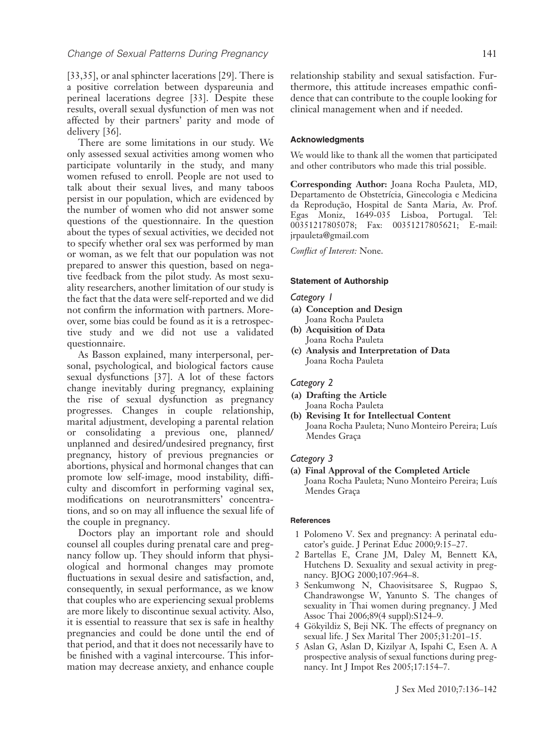[33,35], or anal sphincter lacerations [29]. There is a positive correlation between dyspareunia and perineal lacerations degree [33]. Despite these results, overall sexual dysfunction of men was not affected by their partners' parity and mode of delivery [36].

There are some limitations in our study. We only assessed sexual activities among women who participate voluntarily in the study, and many women refused to enroll. People are not used to talk about their sexual lives, and many taboos persist in our population, which are evidenced by the number of women who did not answer some questions of the questionnaire. In the question about the types of sexual activities, we decided not to specify whether oral sex was performed by man or woman, as we felt that our population was not prepared to answer this question, based on negative feedback from the pilot study. As most sexuality researchers, another limitation of our study is the fact that the data were self-reported and we did not confirm the information with partners. Moreover, some bias could be found as it is a retrospective study and we did not use a validated questionnaire.

As Basson explained, many interpersonal, personal, psychological, and biological factors cause sexual dysfunctions [37]. A lot of these factors change inevitably during pregnancy, explaining the rise of sexual dysfunction as pregnancy progresses. Changes in couple relationship, marital adjustment, developing a parental relation or consolidating a previous one, planned/ unplanned and desired/undesired pregnancy, first pregnancy, history of previous pregnancies or abortions, physical and hormonal changes that can promote low self-image, mood instability, difficulty and discomfort in performing vaginal sex, modifications on neurotransmitters' concentrations, and so on may all influence the sexual life of the couple in pregnancy.

Doctors play an important role and should counsel all couples during prenatal care and pregnancy follow up. They should inform that physiological and hormonal changes may promote fluctuations in sexual desire and satisfaction, and, consequently, in sexual performance, as we know that couples who are experiencing sexual problems are more likely to discontinue sexual activity. Also, it is essential to reassure that sex is safe in healthy pregnancies and could be done until the end of that period, and that it does not necessarily have to be finished with a vaginal intercourse. This information may decrease anxiety, and enhance couple relationship stability and sexual satisfaction. Furthermore, this attitude increases empathic confidence that can contribute to the couple looking for clinical management when and if needed.

### **Acknowledgments**

We would like to thank all the women that participated and other contributors who made this trial possible.

**Corresponding Author:** Joana Rocha Pauleta, MD, Departamento de Obstetrícia, Ginecologia e Medicina da Reprodução, Hospital de Santa Maria, Av. Prof. Egas Moniz, 1649-035 Lisboa, Portugal. Tel: 00351217805078; Fax: 00351217805621; E-mail: jrpauleta@gmail.com

*Conflict of Interest:* None.

#### **Statement of Authorship**

#### *Category 1*

- **(a) Conception and Design** Joana Rocha Pauleta
- **(b) Acquisition of Data** Joana Rocha Pauleta
- **(c) Analysis and Interpretation of Data** Joana Rocha Pauleta

#### *Category 2*

- **(a) Drafting the Article** Joana Rocha Pauleta
- **(b) Revising It for Intellectual Content** Joana Rocha Pauleta; Nuno Monteiro Pereira; Luís Mendes Graça

#### *Category 3*

### **(a) Final Approval of the Completed Article** Joana Rocha Pauleta; Nuno Monteiro Pereira; Luís Mendes Graça

#### **References**

- 1 Polomeno V. Sex and pregnancy: A perinatal educator's guide. J Perinat Educ 2000;9:15–27.
- 2 Bartellas E, Crane JM, Daley M, Bennett KA, Hutchens D. Sexuality and sexual activity in pregnancy. BJOG 2000;107:964–8.
- 3 Senkumwong N, Chaovisitsaree S, Rugpao S, Chandrawongse W, Yanunto S. The changes of sexuality in Thai women during pregnancy. J Med Assoc Thai 2006;89(4 suppl):S124–9.
- 4 Gökyildiz S, Beji NK. The effects of pregnancy on sexual life. J Sex Marital Ther 2005;31:201–15.
- 5 Aslan G, Aslan D, Kizilyar A, Ispahi C, Esen A. A prospective analysis of sexual functions during pregnancy. Int J Impot Res 2005;17:154–7.